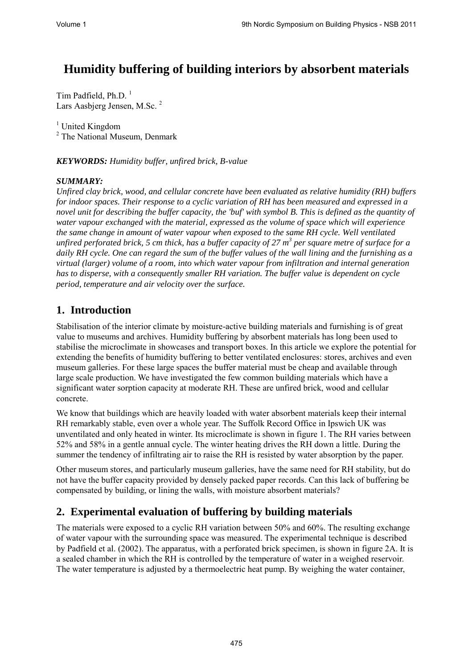# **Humidity buffering of building interiors by absorbent materials**

Tim Padfield, Ph.D. 1 Lars Aasbjerg Jensen, M.Sc.<sup>2</sup>

<sup>1</sup> United Kingdom <sup>2</sup> The National Museum, Denmark

*KEYWORDS: Humidity buffer, unfired brick, B-value* 

#### *SUMMARY:*

*Unfired clay brick, wood, and cellular concrete have been evaluated as relative humidity (RH) buffers for indoor spaces. Their response to a cyclic variation of RH has been measured and expressed in a novel unit for describing the buffer capacity, the 'buf' with symbol B. This is defined as the quantity of water vapour exchanged with the material, expressed as the volume of space which will experience the same change in amount of water vapour when exposed to the same RH cycle. Well ventilated unfired perforated brick, 5 cm thick, has a buffer capacity of 27 m<sup>3</sup> per square metre of surface for a daily RH cycle. One can regard the sum of the buffer values of the wall lining and the furnishing as a virtual (larger) volume of a room, into which water vapour from infiltration and internal generation has to disperse, with a consequently smaller RH variation. The buffer value is dependent on cycle period, temperature and air velocity over the surface.* 

### **1. Introduction**

Stabilisation of the interior climate by moisture-active building materials and furnishing is of great value to museums and archives. Humidity buffering by absorbent materials has long been used to stabilise the microclimate in showcases and transport boxes. In this article we explore the potential for extending the benefits of humidity buffering to better ventilated enclosures: stores, archives and even museum galleries. For these large spaces the buffer material must be cheap and available through large scale production. We have investigated the few common building materials which have a significant water sorption capacity at moderate RH. These are unfired brick, wood and cellular concrete.

We know that buildings which are heavily loaded with water absorbent materials keep their internal RH remarkably stable, even over a whole year. The Suffolk Record Office in Ipswich UK was unventilated and only heated in winter. Its microclimate is shown in figure 1. The RH varies between 52% and 58% in a gentle annual cycle. The winter heating drives the RH down a little. During the summer the tendency of infiltrating air to raise the RH is resisted by water absorption by the paper.

Other museum stores, and particularly museum galleries, have the same need for RH stability, but do not have the buffer capacity provided by densely packed paper records. Can this lack of buffering be compensated by building, or lining the walls, with moisture absorbent materials?

### **2. Experimental evaluation of buffering by building materials**

The materials were exposed to a cyclic RH variation between 50% and 60%. The resulting exchange of water vapour with the surrounding space was measured. The experimental technique is described by Padfield et al. (2002). The apparatus, with a perforated brick specimen, is shown in figure 2A. It is a sealed chamber in which the RH is controlled by the temperature of water in a weighed reservoir. The water temperature is adjusted by a thermoelectric heat pump. By weighing the water container,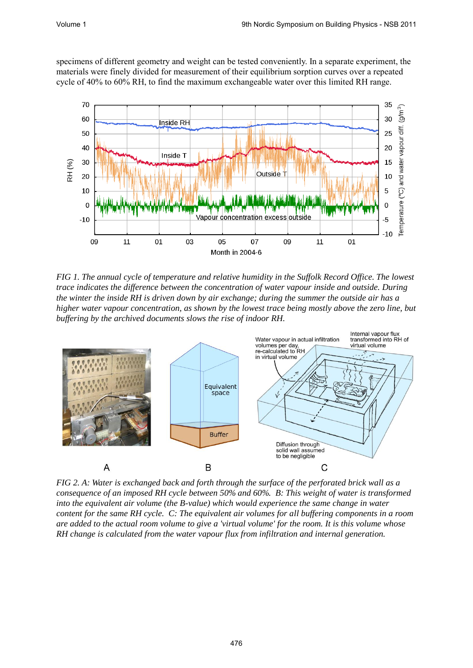specimens of different geometry and weight can be tested conveniently. In a separate experiment, the materials were finely divided for measurement of their equilibrium sorption curves over a repeated cycle of 40% to 60% RH, to find the maximum exchangeable water over this limited RH range.



*FIG 1. The annual cycle of temperature and relative humidity in the Suffolk Record Office. The lowest trace indicates the difference between the concentration of water vapour inside and outside. During the winter the inside RH is driven down by air exchange; during the summer the outside air has a higher water vapour concentration, as shown by the lowest trace being mostly above the zero line, but buffering by the archived documents slows the rise of indoor RH.* 



*FIG 2. A: Water is exchanged back and forth through the surface of the perforated brick wall as a consequence of an imposed RH cycle between 50% and 60%. B: This weight of water is transformed into the equivalent air volume (the B-value) which would experience the same change in water content for the same RH cycle. C: The equivalent air volumes for all buffering components in a room are added to the actual room volume to give a 'virtual volume' for the room. It is this volume whose RH change is calculated from the water vapour flux from infiltration and internal generation.*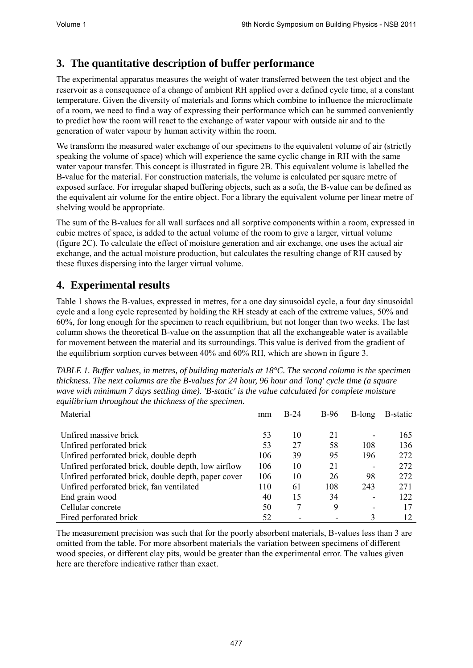# **3. The quantitative description of buffer performance**

The experimental apparatus measures the weight of water transferred between the test object and the reservoir as a consequence of a change of ambient RH applied over a defined cycle time, at a constant temperature. Given the diversity of materials and forms which combine to influence the microclimate of a room, we need to find a way of expressing their performance which can be summed conveniently to predict how the room will react to the exchange of water vapour with outside air and to the generation of water vapour by human activity within the room.

We transform the measured water exchange of our specimens to the equivalent volume of air (strictly speaking the volume of space) which will experience the same cyclic change in RH with the same water vapour transfer. This concept is illustrated in figure 2B. This equivalent volume is labelled the B-value for the material. For construction materials, the volume is calculated per square metre of exposed surface. For irregular shaped buffering objects, such as a sofa, the B-value can be defined as the equivalent air volume for the entire object. For a library the equivalent volume per linear metre of shelving would be appropriate.

The sum of the B-values for all wall surfaces and all sorptive components within a room, expressed in cubic metres of space, is added to the actual volume of the room to give a larger, virtual volume (figure 2C). To calculate the effect of moisture generation and air exchange, one uses the actual air exchange, and the actual moisture production, but calculates the resulting change of RH caused by these fluxes dispersing into the larger virtual volume.

# **4. Experimental results**

Table 1 shows the B-values, expressed in metres, for a one day sinusoidal cycle, a four day sinusoidal cycle and a long cycle represented by holding the RH steady at each of the extreme values, 50% and 60%, for long enough for the specimen to reach equilibrium, but not longer than two weeks. The last column shows the theoretical B-value on the assumption that all the exchangeable water is available for movement between the material and its surroundings. This value is derived from the gradient of the equilibrium sorption curves between 40% and 60% RH, which are shown in figure 3.

*TABLE 1. Buffer values, in metres, of building materials at 18°C. The second column is the specimen thickness. The next columns are the B-values for 24 hour, 96 hour and 'long' cycle time (a square wave with minimum 7 days settling time). 'B-static' is the value calculated for complete moisture equilibrium throughout the thickness of the specimen.* 

| Material                                            | mm  | $B-24$ | $B-96$ | B-long | B-static |
|-----------------------------------------------------|-----|--------|--------|--------|----------|
|                                                     |     |        |        |        |          |
| Unfired massive brick                               | 53  | 10     | 21     |        | 165      |
| Unfired perforated brick                            | 53  | 27     | 58     | 108    | 136      |
| Unfired perforated brick, double depth              | 106 | 39     | 95     | 196    | 272      |
| Unfired perforated brick, double depth, low airflow | 106 | 10     | 21     |        | 272      |
| Unfired perforated brick, double depth, paper cover | 106 | 10     | 26     | 98     | 272      |
| Unfired perforated brick, fan ventilated            | 110 | 61     | 108    | 243    | 271      |
| End grain wood                                      | 40  | 15     | 34     |        | 122      |
| Cellular concrete                                   | 50  |        | 9      |        | 17       |
| Fired perforated brick                              | 52  |        |        | 3      | 12       |

The measurement precision was such that for the poorly absorbent materials, B-values less than 3 are omitted from the table. For more absorbent materials the variation between specimens of different wood species, or different clay pits, would be greater than the experimental error. The values given here are therefore indicative rather than exact.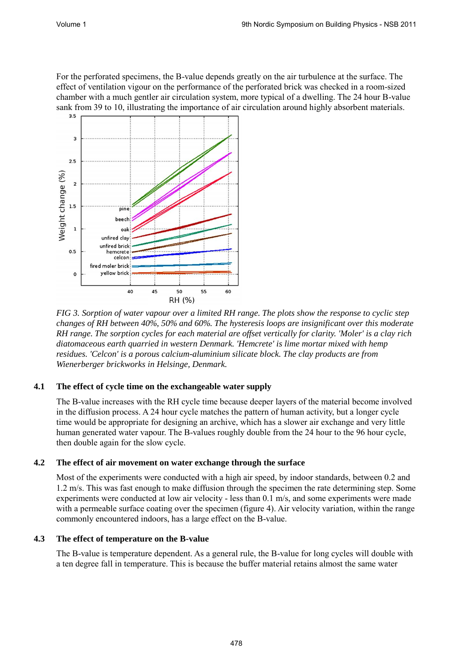For the perforated specimens, the B-value depends greatly on the air turbulence at the surface. The effect of ventilation vigour on the performance of the perforated brick was checked in a room-sized chamber with a much gentler air circulation system, more typical of a dwelling. The 24 hour B-value sank from 39 to 10, illustrating the importance of air circulation around highly absorbent materials.



*FIG 3. Sorption of water vapour over a limited RH range. The plots show the response to cyclic step changes of RH between 40%, 50% and 60%. The hysteresis loops are insignificant over this moderate RH range. The sorption cycles for each material are offset vertically for clarity. 'Moler' is a clay rich diatomaceous earth quarried in western Denmark. 'Hemcrete' is lime mortar mixed with hemp residues. 'Celcon' is a porous calcium-aluminium silicate block. The clay products are from Wienerberger brickworks in Helsinge, Denmark.* 

#### **4.1 The effect of cycle time on the exchangeable water supply**

The B-value increases with the RH cycle time because deeper layers of the material become involved in the diffusion process. A 24 hour cycle matches the pattern of human activity, but a longer cycle time would be appropriate for designing an archive, which has a slower air exchange and very little human generated water vapour. The B-values roughly double from the 24 hour to the 96 hour cycle, then double again for the slow cycle.

#### **4.2 The effect of air movement on water exchange through the surface**

Most of the experiments were conducted with a high air speed, by indoor standards, between 0.2 and 1.2 m/s. This was fast enough to make diffusion through the specimen the rate determining step. Some experiments were conducted at low air velocity - less than 0.1 m/s, and some experiments were made with a permeable surface coating over the specimen (figure 4). Air velocity variation, within the range commonly encountered indoors, has a large effect on the B-value.

#### **4.3 The effect of temperature on the B-value**

The B-value is temperature dependent. As a general rule, the B-value for long cycles will double with a ten degree fall in temperature. This is because the buffer material retains almost the same water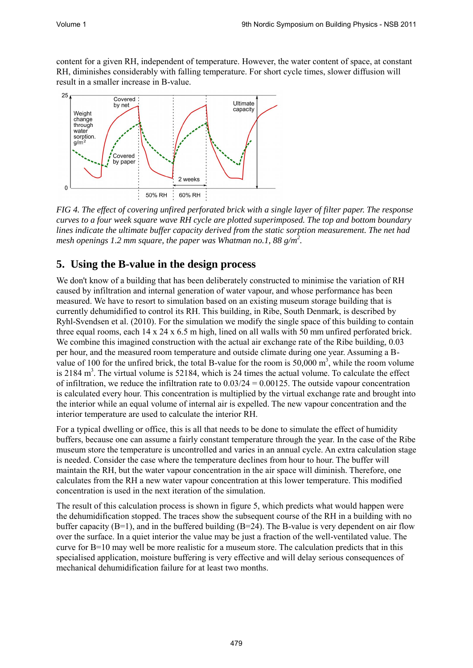content for a given RH, independent of temperature. However, the water content of space, at constant RH, diminishes considerably with falling temperature. For short cycle times, slower diffusion will result in a smaller increase in B-value.



*FIG 4. The effect of covering unfired perforated brick with a single layer of filter paper. The response curves to a four week square wave RH cycle are plotted superimposed. The top and bottom boundary lines indicate the ultimate buffer capacity derived from the static sorption measurement. The net had mesh openings 1.2 mm square, the paper was Whatman no.1, 88 g/m<sup>2</sup> .*

# **5. Using the B-value in the design process**

We don't know of a building that has been deliberately constructed to minimise the variation of RH caused by infiltration and internal generation of water vapour, and whose performance has been measured. We have to resort to simulation based on an existing museum storage building that is currently dehumidified to control its RH. This building, in Ribe, South Denmark, is described by Ryhl-Svendsen et al. (2010). For the simulation we modify the single space of this building to contain three equal rooms, each 14 x 24 x 6.5 m high, lined on all walls with 50 mm unfired perforated brick. We combine this imagined construction with the actual air exchange rate of the Ribe building, 0.03 per hour, and the measured room temperature and outside climate during one year. Assuming a Bvalue of 100 for the unfired brick, the total B-value for the room is  $50,000 \text{ m}^3$ , while the room volume is 2184 m<sup>3</sup>. The virtual volume is 52184, which is 24 times the actual volume. To calculate the effect of infiltration, we reduce the infiltration rate to  $0.03/24 = 0.00125$ . The outside vapour concentration is calculated every hour. This concentration is multiplied by the virtual exchange rate and brought into the interior while an equal volume of internal air is expelled. The new vapour concentration and the interior temperature are used to calculate the interior RH.

For a typical dwelling or office, this is all that needs to be done to simulate the effect of humidity buffers, because one can assume a fairly constant temperature through the year. In the case of the Ribe museum store the temperature is uncontrolled and varies in an annual cycle. An extra calculation stage is needed. Consider the case where the temperature declines from hour to hour. The buffer will maintain the RH, but the water vapour concentration in the air space will diminish. Therefore, one calculates from the RH a new water vapour concentration at this lower temperature. This modified concentration is used in the next iteration of the simulation.

The result of this calculation process is shown in figure 5, which predicts what would happen were the dehumidification stopped. The traces show the subsequent course of the RH in a building with no buffer capacity (B=1), and in the buffered building (B=24). The B-value is very dependent on air flow over the surface. In a quiet interior the value may be just a fraction of the well-ventilated value. The curve for B=10 may well be more realistic for a museum store. The calculation predicts that in this specialised application, moisture buffering is very effective and will delay serious consequences of mechanical dehumidification failure for at least two months.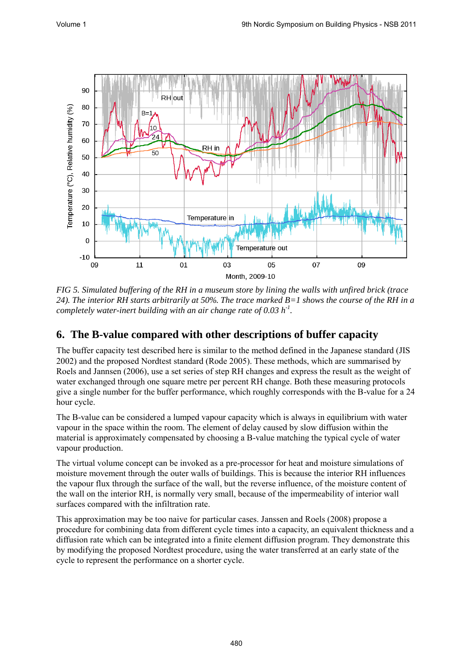

*FIG 5. Simulated buffering of the RH in a museum store by lining the walls with unfired brick (trace 24). The interior RH starts arbitrarily at 50%. The trace marked B=1 shows the course of the RH in a completely water-inert building with an air change rate of 0.03 h-1 .*

### **6. The B-value compared with other descriptions of buffer capacity**

The buffer capacity test described here is similar to the method defined in the Japanese standard (JIS 2002) and the proposed Nordtest standard (Rode 2005). These methods, which are summarised by Roels and Jannsen (2006), use a set series of step RH changes and express the result as the weight of water exchanged through one square metre per percent RH change. Both these measuring protocols give a single number for the buffer performance, which roughly corresponds with the B-value for a 24 hour cycle.

The B-value can be considered a lumped vapour capacity which is always in equilibrium with water vapour in the space within the room. The element of delay caused by slow diffusion within the material is approximately compensated by choosing a B-value matching the typical cycle of water vapour production.

The virtual volume concept can be invoked as a pre-processor for heat and moisture simulations of moisture movement through the outer walls of buildings. This is because the interior RH influences the vapour flux through the surface of the wall, but the reverse influence, of the moisture content of the wall on the interior RH, is normally very small, because of the impermeability of interior wall surfaces compared with the infiltration rate.

This approximation may be too naive for particular cases. Janssen and Roels (2008) propose a procedure for combining data from different cycle times into a capacity, an equivalent thickness and a diffusion rate which can be integrated into a finite element diffusion program. They demonstrate this by modifying the proposed Nordtest procedure, using the water transferred at an early state of the cycle to represent the performance on a shorter cycle.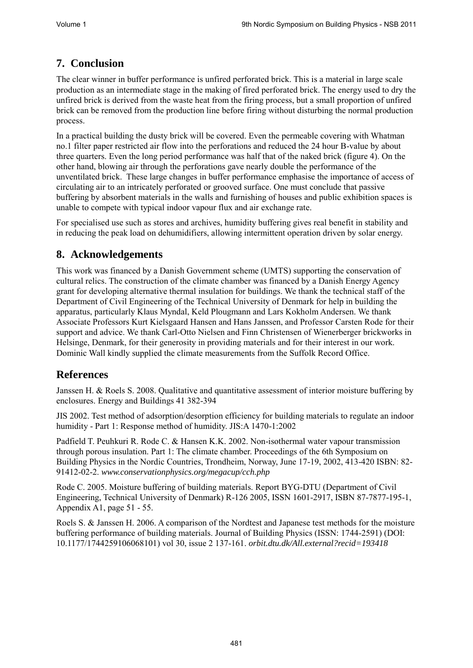# **7. Conclusion**

The clear winner in buffer performance is unfired perforated brick. This is a material in large scale production as an intermediate stage in the making of fired perforated brick. The energy used to dry the unfired brick is derived from the waste heat from the firing process, but a small proportion of unfired brick can be removed from the production line before firing without disturbing the normal production process.

In a practical building the dusty brick will be covered. Even the permeable covering with Whatman no.1 filter paper restricted air flow into the perforations and reduced the 24 hour B-value by about three quarters. Even the long period performance was half that of the naked brick (figure 4). On the other hand, blowing air through the perforations gave nearly double the performance of the unventilated brick. These large changes in buffer performance emphasise the importance of access of circulating air to an intricately perforated or grooved surface. One must conclude that passive buffering by absorbent materials in the walls and furnishing of houses and public exhibition spaces is unable to compete with typical indoor vapour flux and air exchange rate.

For specialised use such as stores and archives, humidity buffering gives real benefit in stability and in reducing the peak load on dehumidifiers, allowing intermittent operation driven by solar energy.

### **8. Acknowledgements**

This work was financed by a Danish Government scheme (UMTS) supporting the conservation of cultural relics. The construction of the climate chamber was financed by a Danish Energy Agency grant for developing alternative thermal insulation for buildings. We thank the technical staff of the Department of Civil Engineering of the Technical University of Denmark for help in building the apparatus, particularly Klaus Myndal, Keld Plougmann and Lars Kokholm Andersen. We thank Associate Professors Kurt Kielsgaard Hansen and Hans Janssen, and Professor Carsten Rode for their support and advice. We thank Carl-Otto Nielsen and Finn Christensen of Wienerberger brickworks in Helsinge, Denmark, for their generosity in providing materials and for their interest in our work. Dominic Wall kindly supplied the climate measurements from the Suffolk Record Office.

## **References**

Janssen H. & Roels S. 2008. Qualitative and quantitative assessment of interior moisture buffering by enclosures. Energy and Buildings 41 382-394

JIS 2002. Test method of adsorption/desorption efficiency for building materials to regulate an indoor humidity - Part 1: Response method of humidity. JIS:A 1470-1:2002

Padfield T. Peuhkuri R. Rode C. & Hansen K.K. 2002. Non-isothermal water vapour transmission through porous insulation. Part 1: The climate chamber. Proceedings of the 6th Symposium on Building Physics in the Nordic Countries, Trondheim, Norway, June 17-19, 2002, 413-420 ISBN: 82- 91412-02-2. *www.conservationphysics.org/megacup/cch.php* 

Rode C. 2005. Moisture buffering of building materials. Report BYG-DTU (Department of Civil Engineering, Technical University of Denmark) R-126 2005, ISSN 1601-2917, ISBN 87-7877-195-1, Appendix A1, page 51 - 55.

Roels S. & Janssen H. 2006. A comparison of the Nordtest and Japanese test methods for the moisture buffering performance of building materials. Journal of Building Physics (ISSN: 1744-2591) (DOI: 10.1177/1744259106068101) vol 30, issue 2 137-161. *orbit.dtu.dk/All.external?recid=193418*